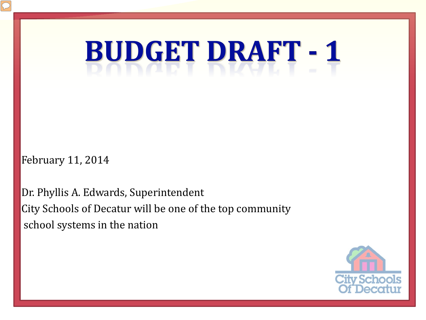**BUDGET DRAFT - 1** 

February 11, 2014

Dr. Phyllis A. Edwards, Superintendent City Schools of Decatur will be one of the top community school systems in the nation

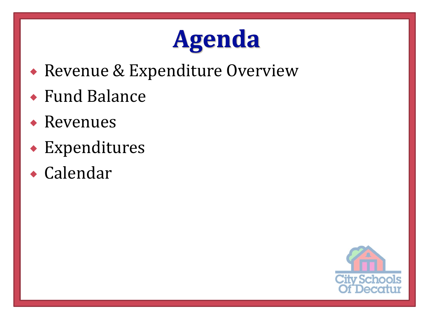#### **Agenda**

- Revenue & Expenditure Overview
- Fund Balance
- Revenues
- Expenditures
- Calendar

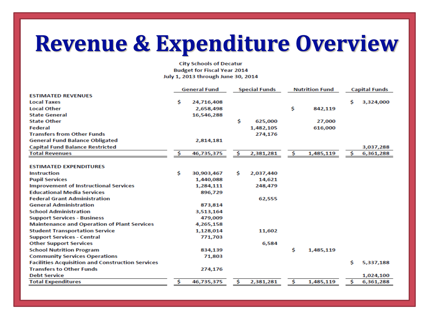#### **Revenue & Expenditure Overview**

**City Schools of Decatur Budget for Fiscal Year 2014** July 1, 2013 through June 30, 2014

|                                                         |     | <b>General Fund</b> |    | <b>Special Funds</b> |    | <b>Nutrition Fund</b> |    | <b>Capital Funds</b> |
|---------------------------------------------------------|-----|---------------------|----|----------------------|----|-----------------------|----|----------------------|
| <b>ESTIMATED REVENUES</b>                               |     |                     |    |                      |    |                       |    |                      |
| <b>Local Taxes</b>                                      | \$  | 24,716,408          |    |                      |    |                       | Ś. | 3,324,000            |
| <b>Local Other</b>                                      |     | 2,658,498           |    |                      | \$ | 842,119               |    |                      |
| <b>State General</b>                                    |     | 16,546,288          |    |                      |    |                       |    |                      |
| <b>State Other</b>                                      |     |                     | \$ | 625,000              |    | 27,000                |    |                      |
| Federal                                                 |     |                     |    | 1,482,105            |    | 616,000               |    |                      |
| <b>Transfers from Other Funds</b>                       |     |                     |    | 274,176              |    |                       |    |                      |
| <b>General Fund Balance Obligated</b>                   |     | 2,814,181           |    |                      |    |                       |    |                      |
| <b>Capital Fund Balance Restricted</b>                  |     |                     |    |                      |    |                       |    | 3,037,288            |
| <b>Total Revenues</b>                                   | \$. | 46,735,375          | \$ | 2,381,281            | \$ | 1,485,119             | \$ | 6,361,288            |
| <b>ESTIMATED EXPENDITURES</b>                           |     |                     |    |                      |    |                       |    |                      |
|                                                         |     |                     |    |                      |    |                       |    |                      |
| <b>Instruction</b>                                      | \$. | 30,903,467          | Ŝ. | 2,037,440            |    |                       |    |                      |
| <b>Pupil Services</b>                                   |     | 1,440,088           |    | 14,621               |    |                       |    |                      |
| <b>Improvement of Instructional Services</b>            |     | 1,284,111           |    | 248,479              |    |                       |    |                      |
| <b>Educational Media Services</b>                       |     | 896,729             |    |                      |    |                       |    |                      |
| <b>Federal Grant Administration</b>                     |     |                     |    | 62,555               |    |                       |    |                      |
| <b>General Administration</b>                           |     | 873,814             |    |                      |    |                       |    |                      |
| <b>School Administration</b>                            |     | 3,513,164           |    |                      |    |                       |    |                      |
| <b>Support Services - Business</b>                      |     | 479,009             |    |                      |    |                       |    |                      |
| <b>Maintenance and Operation of Plant Services</b>      |     | 4,265,158           |    |                      |    |                       |    |                      |
| <b>Student Transportation Service</b>                   |     | 1,128,014           |    | 11,602               |    |                       |    |                      |
| <b>Support Services - Central</b>                       |     | 771,703             |    |                      |    |                       |    |                      |
| <b>Other Support Services</b>                           |     |                     |    | 6,584                |    |                       |    |                      |
| <b>School Nutrition Program</b>                         |     | 834,139             |    |                      | Ś. | 1,485,119             |    |                      |
| <b>Community Services Operations</b>                    |     | 71,803              |    |                      |    |                       |    |                      |
| <b>Facilities Acquisition and Construction Services</b> |     |                     |    |                      |    |                       | Ś  | 5,337,188            |
| <b>Transfers to Other Funds</b>                         |     | 274,176             |    |                      |    |                       |    |                      |
| <b>Debt Service</b>                                     |     |                     |    |                      |    |                       |    | 1,024,100            |
| <b>Total Expenditures</b>                               | \$  | 46,735,375          | \$ | 2,381,281            | \$ | 1,485,119             | \$ | 6,361,288            |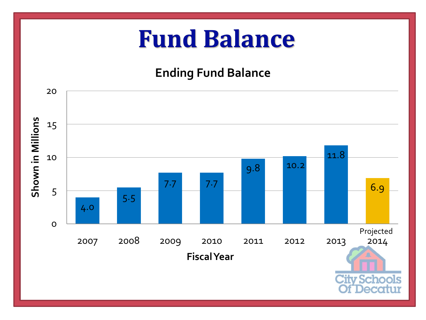#### **Fund Balance**

#### **Ending Fund Balance**

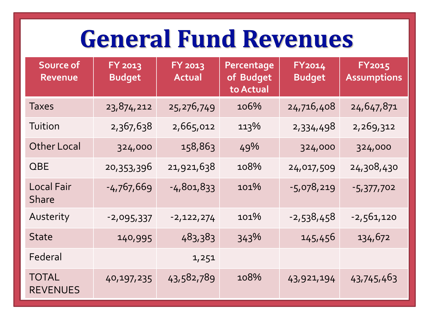#### **General Fund Revenues**

| Source of<br><b>Revenue</b>       | FY 2013<br><b>Budget</b> | FY 2013<br><b>Actual</b> | Percentage<br>of Budget<br>to Actual | FY2014<br><b>Budget</b> | <b>FY2015</b><br><b>Assumptions</b> |
|-----------------------------------|--------------------------|--------------------------|--------------------------------------|-------------------------|-------------------------------------|
| <b>Taxes</b>                      | 23,874,212               | 25,276,749               | 106%                                 | 24,716,408              | 24,647,871                          |
| Tuition                           | 2,367,638                | 2,665,012                | 113%                                 | 2,334,498               | 2,269,312                           |
| <b>Other Local</b>                | 324,000                  | 158,863                  | 49%                                  | 324,000                 | 324,000                             |
| <b>QBE</b>                        | 20,353,396               | 21,921,638               | 108%                                 | 24,017,509              | 24,308,430                          |
| <b>Local Fair</b><br><b>Share</b> | $-4,767,669$             | $-4,801,833$             | 101%                                 | $-5,078,219$            | -5,377,702                          |
| Austerity                         | $-2,095,337$             | $-2,122,274$             | 101%                                 | $-2,538,458$            | $-2,561,120$                        |
| <b>State</b>                      | 140,995                  | 483,383                  | 343%                                 | 145,456                 | 134,672                             |
| Federal                           |                          | 1,251                    |                                      |                         |                                     |
| <b>TOTAL</b><br><b>REVENUES</b>   | 40,197,235               | 43,582,789               | 108%                                 | 43,921,194              | 43,745,463                          |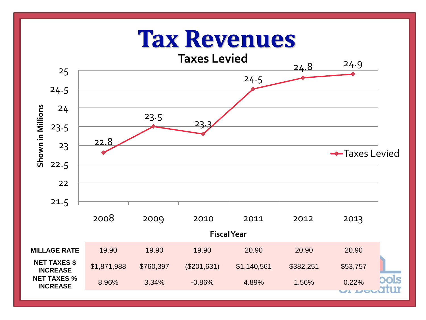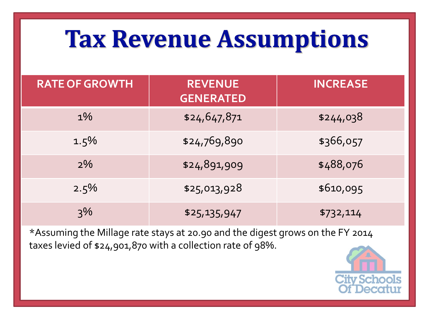#### **Tax Revenue Assumptions**

| <b>RATE OF GROWTH</b> | <b>REVENUE</b><br><b>GENERATED</b> | <b>INCREASE</b> |
|-----------------------|------------------------------------|-----------------|
| $1\%$                 | \$24,647,871                       | \$244,038       |
| $1.5\%$               | \$24,769,890                       | \$366,057       |
| $2\%$                 | \$24,891,909                       | \$488,076       |
| $2.5\%$               | \$25,013,928                       | \$610,095       |
| 3%                    | \$25,135,947                       | \$732,114       |

\*Assuming the Millage rate stays at 20.90 and the digest grows on the FY 2014 taxes levied of \$24,901,870 with a collection rate of 98%.

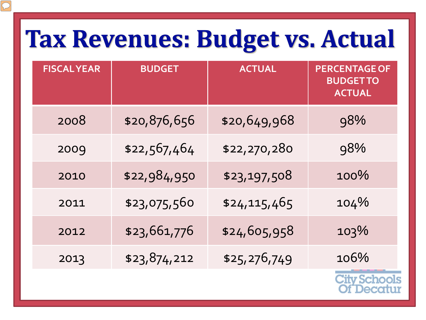#### Tax Revenues: Budget vs. Actual

 $\sqrt{C}$ 

| <b>FISCALYEAR</b> | <b>BUDGET</b> | <b>ACTUAL</b> | <b>PERCENTAGE OF</b><br><b>BUDGETTO</b><br><b>ACTUAL</b> |
|-------------------|---------------|---------------|----------------------------------------------------------|
| 2008              | \$20,876,656  | \$20,649,968  | 98%                                                      |
| 2009              | \$22,567,464  | \$22,270,280  | 98%                                                      |
| 2010              | \$22,984,950  | \$23,197,508  | 100%                                                     |
| 2011              | \$23,075,560  | \$24,115,465  | 104%                                                     |
| 2012              | \$23,661,776  | \$24,605,958  | 103%                                                     |
| 2013              | \$23,874,212  | \$25,276,749  | 106%                                                     |

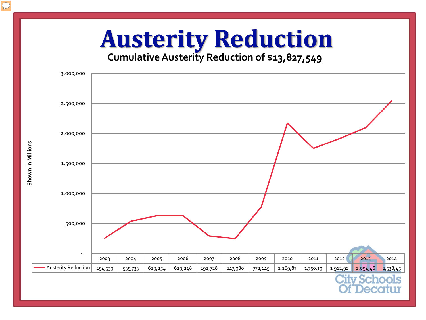# **Cumulative Austerity Reduction of \$13,827,549**



Shown in Millions **Shown in Millions**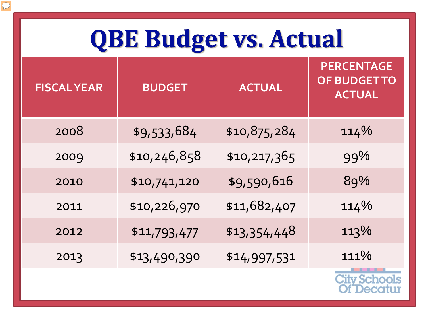#### **QBE Budget vs. Actual**

 $\overline{C}$ 

| <b>FISCAL YEAR</b> | <b>BUDGET</b> | <b>ACTUAL</b> | <b>PERCENTAGE</b><br><b>OF BUDGET TO</b><br><b>ACTUAL</b> |
|--------------------|---------------|---------------|-----------------------------------------------------------|
| 2008               | \$9,533,684   | \$10,875,284  | 114%                                                      |
| 2009               | \$10,246,858  | \$10,217,365  | 99%                                                       |
| 2010               | \$10,741,120  | \$9,590,616   | 89%                                                       |
| 2011               | \$10,226,970  | \$11,682,407  | 114%                                                      |
| 2012               | \$11,793,477  | \$13,354,448  | 113%                                                      |
| 2013               | \$13,490,390  | \$14,997,531  | 111%                                                      |
|                    |               |               | ity Schools                                               |

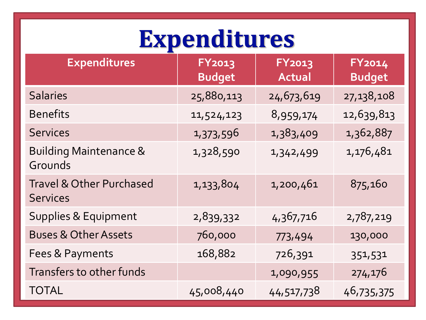## Expenditures

| <b>Expenditures</b>                                    | <b>FY2013</b><br><b>Budget</b> | <b>FY2013</b><br><b>Actual</b> | FY2014<br><b>Budget</b> |
|--------------------------------------------------------|--------------------------------|--------------------------------|-------------------------|
| <b>Salaries</b>                                        | 25,880,113                     | 24,673,619                     | 27,138,108              |
| <b>Benefits</b>                                        | 11,524,123                     | 8,959,174                      | 12,639,813              |
| <b>Services</b>                                        | 1,373,596                      | 1,383,409                      | 1,362,887               |
| <b>Building Maintenance &amp;</b><br>Grounds           | 1,328,590                      | 1,342,499                      | 1,176,481               |
| <b>Travel &amp; Other Purchased</b><br><b>Services</b> | 1,133,804                      | 1,200,461                      | 875,160                 |
| <b>Supplies &amp; Equipment</b>                        | 2,839,332                      | 4,367,716                      | 2,787,219               |
| <b>Buses &amp; Other Assets</b>                        | 760,000                        | 773,494                        | 130,000                 |
| Fees & Payments                                        | 168,882                        | 726,391                        | 351,531                 |
| Transfers to other funds                               |                                | 1,090,955                      | 274,176                 |
| <b>TOTAL</b>                                           | 45,008,440                     | 44,517,738                     | 46,735,375              |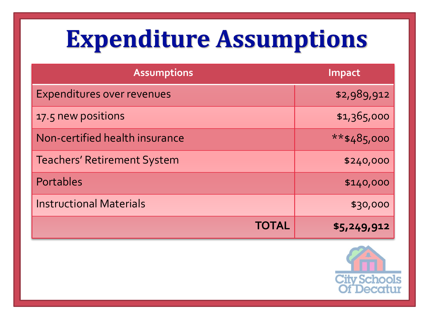#### **Expenditure Assumptions**

| <b>Assumptions</b>                 | Impact          |
|------------------------------------|-----------------|
| <b>Expenditures over revenues</b>  | \$2,989,912     |
| 17.5 new positions                 | \$1,365,000     |
| Non-certified health insurance     | $***$ \$485,000 |
| <b>Teachers' Retirement System</b> | \$240,000       |
| Portables                          | \$140,000       |
| <b>Instructional Materials</b>     | \$30,000        |
| TOTAL                              | \$5,249,912     |

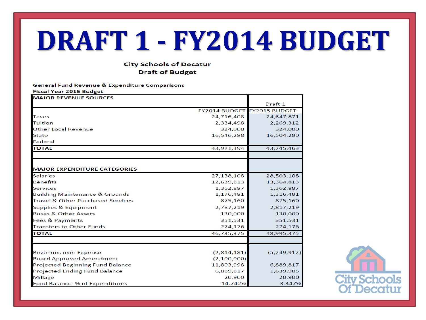## DRAFT 1 - FY2014 BUDGET

#### **City Schools of Decatur Draft of Budget**

|                         | <b>General Fund Revenue &amp; Expenditure Comparisons</b> |
|-------------------------|-----------------------------------------------------------|
| Eiscal Vear 2015 Rudget |                                                           |

| <b>MAJOR REVENUE SOURCES</b>                 |                             |             |
|----------------------------------------------|-----------------------------|-------------|
|                                              |                             | Draft 1     |
|                                              | FY2014 BUDGET FY2015 BUDGET |             |
| <b>Taxes</b>                                 | 24,716,408                  | 24,647,871  |
| <b>Tuition</b>                               | 2,334,498                   | 2,269,312   |
| <b>Other Local Revenue</b>                   | 324,000                     | 324,000     |
| <b>State</b>                                 | 16,546,288                  | 16,504,280  |
| Federal                                      |                             |             |
| <b>TOTAL</b>                                 | 43,921,194                  | 43,745,463  |
|                                              |                             |             |
|                                              |                             |             |
| <b>MAJOR EXPENDITURE CATEGORIES</b>          |                             |             |
| <b>Salaries</b>                              | 27,138,108                  | 28,503,108  |
| <b>Benefits</b>                              | 12,639,813                  | 13,364,813  |
| <b>Services</b>                              | 1,362,887                   | 1,362,887   |
| <b>Building Maintenance &amp; Grounds</b>    | 1,176,481                   | 1,316,481   |
| <b>Travel &amp; Other Purchased Services</b> | 875,160                     | 875,160     |
| <b>Supplies &amp; Equipment</b>              | 2,787,219                   | 2,817,219   |
| <b>Buses &amp; Other Assets</b>              | 130,000                     | 130,000     |
| <b>Fees &amp; Payments</b>                   | 351,531                     | 351,531     |
| <b>Transfers to Other Funds</b>              | 274,176                     | 274,176     |
| <b>TOTAL</b>                                 | 46,735,375                  | 48,995,375  |
|                                              |                             |             |
| <b>Revenues over Expense</b>                 | (2,814,181)                 | (5,249,912) |
| <b>Board Approved Amendment</b>              | (2,100,000)                 |             |
| <b>Projected Beginning Fund Balance</b>      | 11,803,998                  | 6,889,817   |
| <b>Projected Ending Fund Balance</b>         | 6,889,817                   | 1,639,905   |
| <b>Millage</b>                               | 20.900                      | 20.900      |
| <b>Fund Balance % of Expenditures</b>        | 14.742%                     | 3.347%      |

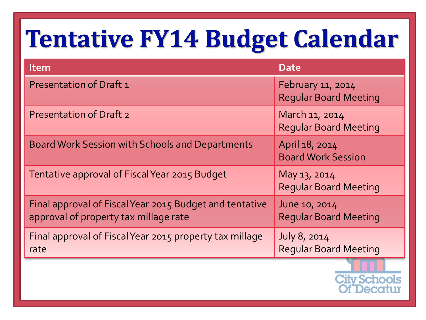#### **Tentative FY14 Budget Calendar**

| <b>Item</b>                                                                                      | <b>Date</b>                                       |
|--------------------------------------------------------------------------------------------------|---------------------------------------------------|
| <b>Presentation of Draft 1</b>                                                                   | February 11, 2014<br><b>Reqular Board Meeting</b> |
| <b>Presentation of Draft 2</b>                                                                   | March 11, 2014<br><b>Regular Board Meeting</b>    |
| <b>Board Work Session with Schools and Departments</b>                                           | April 18, 2014<br><b>Board Work Session</b>       |
| Tentative approval of Fiscal Year 2015 Budget                                                    | May 13, 2014<br><b>Reqular Board Meeting</b>      |
| Final approval of Fiscal Year 2015 Budget and tentative<br>approval of property tax millage rate | June 10, 2014<br><b>Reqular Board Meeting</b>     |
| Final approval of Fiscal Year 2015 property tax millage<br>rate                                  | July 8, 2014<br><b>Reqular Board Meeting</b>      |